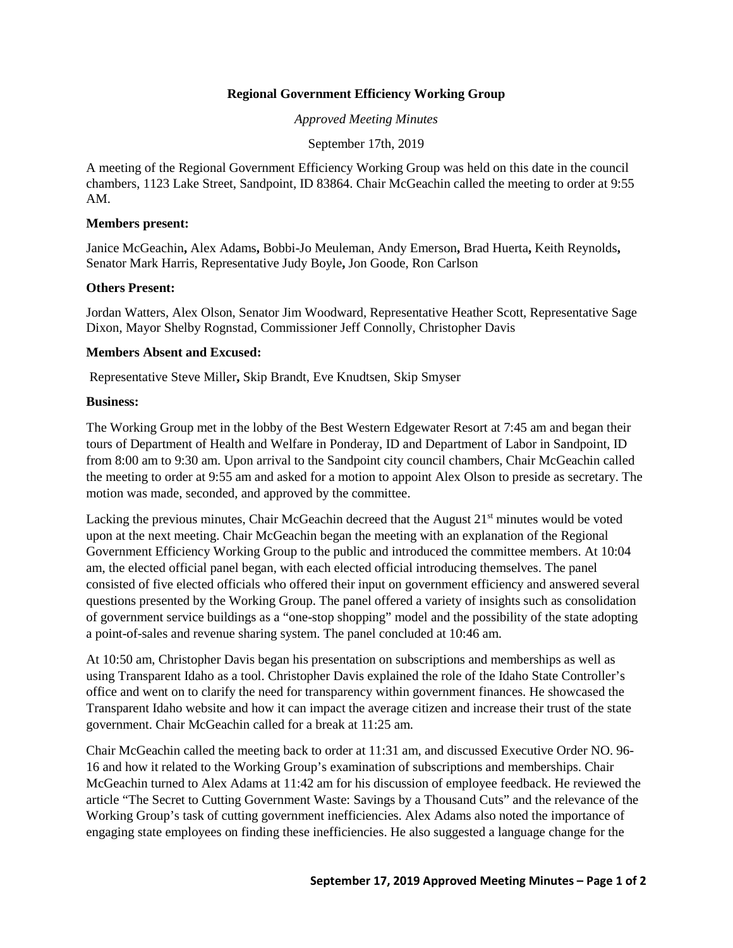## **Regional Government Efficiency Working Group**

*Approved Meeting Minutes*

September 17th, 2019

A meeting of the Regional Government Efficiency Working Group was held on this date in the council chambers, 1123 Lake Street, Sandpoint, ID 83864. Chair McGeachin called the meeting to order at 9:55 AM.

#### **Members present:**

Janice McGeachin**,** Alex Adams**,** Bobbi-Jo Meuleman, Andy Emerson**,** Brad Huerta**,** Keith Reynolds**,**  Senator Mark Harris, Representative Judy Boyle**,** Jon Goode, Ron Carlson

### **Others Present:**

Jordan Watters, Alex Olson, Senator Jim Woodward, Representative Heather Scott, Representative Sage Dixon, Mayor Shelby Rognstad, Commissioner Jeff Connolly, Christopher Davis

### **Members Absent and Excused:**

Representative Steve Miller**,** Skip Brandt, Eve Knudtsen, Skip Smyser

### **Business:**

The Working Group met in the lobby of the Best Western Edgewater Resort at 7:45 am and began their tours of Department of Health and Welfare in Ponderay, ID and Department of Labor in Sandpoint, ID from 8:00 am to 9:30 am. Upon arrival to the Sandpoint city council chambers, Chair McGeachin called the meeting to order at 9:55 am and asked for a motion to appoint Alex Olson to preside as secretary. The motion was made, seconded, and approved by the committee.

Lacking the previous minutes, Chair McGeachin decreed that the August 21<sup>st</sup> minutes would be voted upon at the next meeting. Chair McGeachin began the meeting with an explanation of the Regional Government Efficiency Working Group to the public and introduced the committee members. At 10:04 am, the elected official panel began, with each elected official introducing themselves. The panel consisted of five elected officials who offered their input on government efficiency and answered several questions presented by the Working Group. The panel offered a variety of insights such as consolidation of government service buildings as a "one-stop shopping" model and the possibility of the state adopting a point-of-sales and revenue sharing system. The panel concluded at 10:46 am.

At 10:50 am, Christopher Davis began his presentation on subscriptions and memberships as well as using Transparent Idaho as a tool. Christopher Davis explained the role of the Idaho State Controller's office and went on to clarify the need for transparency within government finances. He showcased the Transparent Idaho website and how it can impact the average citizen and increase their trust of the state government. Chair McGeachin called for a break at 11:25 am.

Chair McGeachin called the meeting back to order at 11:31 am, and discussed Executive Order NO. 96- 16 and how it related to the Working Group's examination of subscriptions and memberships. Chair McGeachin turned to Alex Adams at 11:42 am for his discussion of employee feedback. He reviewed the article "The Secret to Cutting Government Waste: Savings by a Thousand Cuts" and the relevance of the Working Group's task of cutting government inefficiencies. Alex Adams also noted the importance of engaging state employees on finding these inefficiencies. He also suggested a language change for the